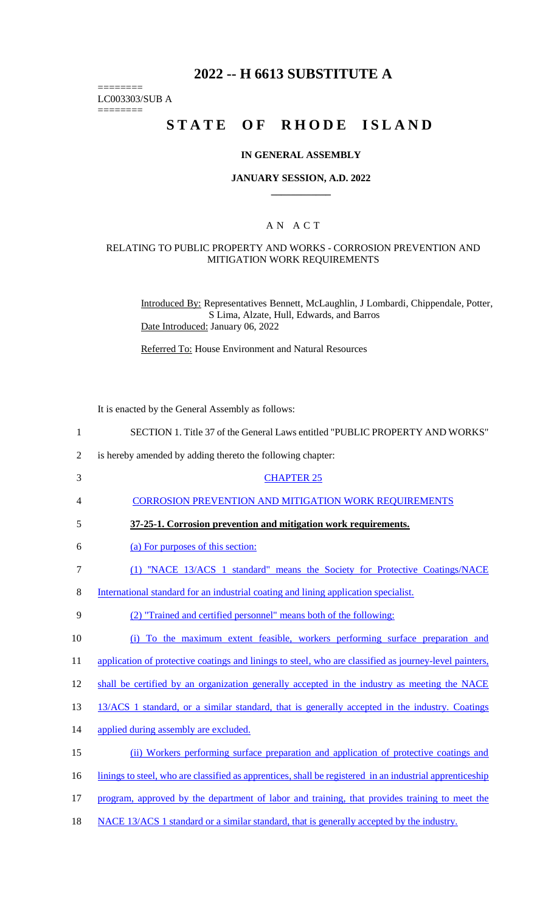## **2022 -- H 6613 SUBSTITUTE A**

LC003303/SUB A

========

========

# **STATE OF RHODE ISLAND**

#### **IN GENERAL ASSEMBLY**

#### **JANUARY SESSION, A.D. 2022 \_\_\_\_\_\_\_\_\_\_\_\_**

## A N A C T

## RELATING TO PUBLIC PROPERTY AND WORKS - CORROSION PREVENTION AND MITIGATION WORK REQUIREMENTS

Introduced By: Representatives Bennett, McLaughlin, J Lombardi, Chippendale, Potter, S Lima, Alzate, Hull, Edwards, and Barros Date Introduced: January 06, 2022

Referred To: House Environment and Natural Resources

It is enacted by the General Assembly as follows:

| 1              | SECTION 1. Title 37 of the General Laws entitled "PUBLIC PROPERTY AND WORKS"                             |
|----------------|----------------------------------------------------------------------------------------------------------|
| $\overline{2}$ | is hereby amended by adding thereto the following chapter:                                               |
| 3              | <b>CHAPTER 25</b>                                                                                        |
| 4              | <b>CORROSION PREVENTION AND MITIGATION WORK REQUIREMENTS</b>                                             |
| 5              | 37-25-1. Corrosion prevention and mitigation work requirements.                                          |
| 6              | (a) For purposes of this section:                                                                        |
| 7              | (1) "NACE 13/ACS 1 standard" means the Society for Protective Coatings/NACE                              |
| 8              | International standard for an industrial coating and lining application specialist.                      |
| 9              | (2) "Trained and certified personnel" means both of the following:                                       |
| 10             | (i) To the maximum extent feasible, workers performing surface preparation and                           |
| 11             | application of protective coatings and linings to steel, who are classified as journey-level painters,   |
| 12             | shall be certified by an organization generally accepted in the industry as meeting the NACE             |
| 13             | 13/ACS 1 standard, or a similar standard, that is generally accepted in the industry. Coatings           |
| 14             | applied during assembly are excluded.                                                                    |
| 15             | (ii) Workers performing surface preparation and application of protective coatings and                   |
| 16             | linings to steel, who are classified as apprentices, shall be registered in an industrial apprenticeship |
| 17             | program, approved by the department of labor and training, that provides training to meet the            |
|                |                                                                                                          |

18 NACE 13/ACS 1 standard or a similar standard, that is generally accepted by the industry.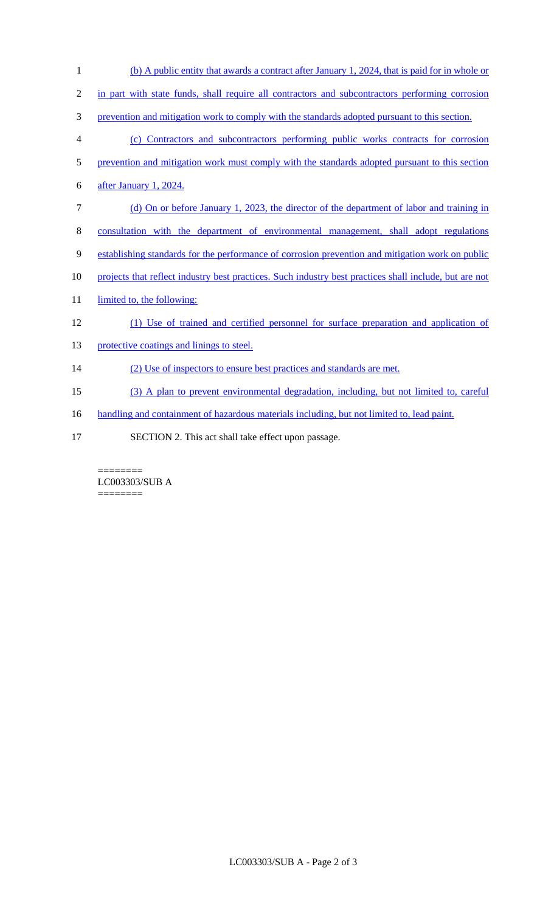| 1              | (b) A public entity that awards a contract after January 1, 2024, that is paid for in whole or         |
|----------------|--------------------------------------------------------------------------------------------------------|
| $\overline{2}$ | in part with state funds, shall require all contractors and subcontractors performing corrosion        |
| 3              | prevention and mitigation work to comply with the standards adopted pursuant to this section.          |
| 4              | (c) Contractors and subcontractors performing public works contracts for corrosion                     |
| 5              | prevention and mitigation work must comply with the standards adopted pursuant to this section         |
| 6              | after January 1, 2024.                                                                                 |
| $\tau$         | (d) On or before January 1, 2023, the director of the department of labor and training in              |
| 8              | consultation with the department of environmental management, shall adopt regulations                  |
| 9              | establishing standards for the performance of corrosion prevention and mitigation work on public       |
| 10             | projects that reflect industry best practices. Such industry best practices shall include, but are not |
| 11             | limited to, the following:                                                                             |
| 12             | (1) Use of trained and certified personnel for surface preparation and application of                  |
| 13             | protective coatings and linings to steel.                                                              |
| 14             | (2) Use of inspectors to ensure best practices and standards are met.                                  |
| 15             | (3) A plan to prevent environmental degradation, including, but not limited to, careful                |
| 16             | handling and containment of hazardous materials including, but not limited to, lead paint.             |
| 17             | SECTION 2. This act shall take effect upon passage.                                                    |

 $=$ LC003303/SUB A ========